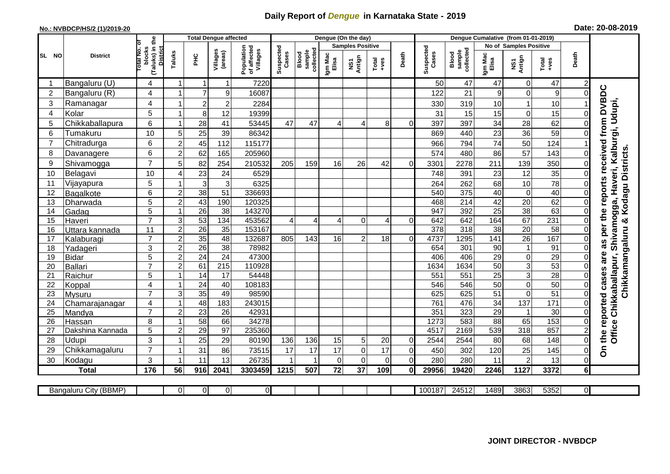## **Daily Report of** *Dengue* **in Karnataka State - 2019**

## **No.: NVBDCP/HS/2 (1)/2019-20 Date: 20-08-2019**

|                |                       |                                                   |                |                  | Total Dengue affected |                                       |                    |                              | Dengue (On the day) |                                |                |                |                    |                              |                        |                  |                        |                |                                                                |
|----------------|-----------------------|---------------------------------------------------|----------------|------------------|-----------------------|---------------------------------------|--------------------|------------------------------|---------------------|--------------------------------|----------------|----------------|--------------------|------------------------------|------------------------|------------------|------------------------|----------------|----------------------------------------------------------------|
|                |                       | ō                                                 |                |                  |                       |                                       |                    |                              |                     | <b>Samples Positive</b>        |                |                |                    |                              | No of Samples Positive |                  |                        |                |                                                                |
| SL NO          | <b>District</b>       | (Taluks) in the<br>District<br>blocks<br>otal No. | Taluks         | PНC              | Villages<br>(areas)   | Population<br>of affected<br>Villages | Suspected<br>Cases | sample<br>collected<br>Blood | Igm Mac<br>Elisa    | Antign<br>$\mathbf{\tilde{s}}$ | $Total$        | Death          | Suspected<br>Cases | collected<br>sample<br>Blood | Igm Mac<br>Elisa       | NS1<br>Antign    | Death<br>Total<br>+ves |                |                                                                |
| -1             | Bangaluru (U)         | 4                                                 | 1              | $\mathbf 1$      | $\mathbf 1$           | 7220                                  |                    |                              |                     |                                |                |                | 50                 | 47                           | 47                     | 0                | 47                     |                |                                                                |
| $\overline{2}$ | Bangaluru (R)         | 4                                                 | -1             | $\overline{7}$   | 9                     | 16087                                 |                    |                              |                     |                                |                |                | 122                | 21                           | 9                      | $\Omega$         | 9                      |                |                                                                |
| 3              | Ramanagar             | $\overline{\mathbf{4}}$                           | -1             | $\boldsymbol{2}$ | $\mathbf 2$           | 2284                                  |                    |                              |                     |                                |                |                | 330                | 319                          | 10                     |                  | 10                     |                | as per the reports received from DVBDC                         |
| 4              | Kolar                 | 5                                                 | $\overline{1}$ | 8                | 12                    | 19399                                 |                    |                              |                     |                                |                |                | 31                 | 15                           | 15                     | $\mathbf 0$      | 15                     | 0              |                                                                |
| 5              | Chikkaballapura       | 6                                                 | 1              | 28               | 41                    | 53445                                 | 47                 | 47                           | 4                   | 4                              | 8              | $\Omega$       | 397                | 397                          | 34                     | 28               | 62                     |                |                                                                |
| 6              | Tumakuru              | 10                                                | 5              | 25               | 39                    | 86342                                 |                    |                              |                     |                                |                |                | 869                | 440                          | 23                     | 36               | 59                     |                |                                                                |
| $\overline{7}$ | Chitradurga           | 6                                                 | $\overline{c}$ | 45               | 112                   | 115177                                |                    |                              |                     |                                |                |                | 966                | 794                          | 74                     | 50               | 124                    |                |                                                                |
| 8              | Davanagere            | $6\phantom{1}$                                    | $\overline{2}$ | 62               | 165                   | 205960                                |                    |                              |                     |                                |                |                | 574                | 480                          | 86                     | 57               | 143                    | $\overline{0}$ |                                                                |
| 9              | Shivamogga            | $\overline{7}$                                    | 5              | 82               | 254                   | 210532                                | 205                | 159                          | 16                  | 26                             | 42             | $\Omega$       | 3301               | 2278                         | 211                    | 139              | 350                    | $\Omega$       | Haveri, Kalburgi, Udupi,<br>Chikkamangaluru & Kodagu Districts |
| 10             | Belagavi              | 10                                                | 4              | 23               | 24                    | 6529                                  |                    |                              |                     |                                |                |                | 748                | 391                          | 23                     | 12               | 35                     | $\Omega$       |                                                                |
| 11             | Vijayapura            | 5                                                 |                | 3                | 3                     | 6325                                  |                    |                              |                     |                                |                |                | 264                | 262                          | 68                     | 10               | 78                     |                |                                                                |
| 12             | Bagalkote             | $6\phantom{1}$                                    | $\overline{c}$ | 38               | 51                    | 336693                                |                    |                              |                     |                                |                |                | 540                | 375                          | 40                     | $\pmb{0}$        | 40                     | $\overline{0}$ |                                                                |
| 13             | Dharwada              | 5                                                 | $\overline{2}$ | 43               | 190                   | 120325                                |                    |                              |                     |                                |                |                | 468                | $\overline{214}$             | 42                     | $\overline{20}$  | 62                     | $\Omega$       | Chikkaballapur, Shivamogga,                                    |
| 14             | Gadag                 | $\overline{5}$                                    | $\overline{1}$ | 26               | 38                    | 143270                                |                    |                              |                     |                                |                |                | 947                | 392                          | $\overline{25}$        | 38               | 63                     | $\mathbf 0$    |                                                                |
| 15             | Haveri                | $\overline{7}$                                    | 3              | 53               | 134                   | 453562                                | $\overline{4}$     | $\Delta$                     | 4                   | $\Omega$                       | $\overline{4}$ | $\Omega$       | 642                | 642                          | 164                    | 67               | 231                    |                |                                                                |
| 16             | Uttara kannada        | 11                                                | $\overline{2}$ | $\overline{26}$  | $\overline{35}$       | 153167                                |                    |                              |                     |                                |                |                | 378                | 318                          | $\overline{38}$        | 20               | 58                     |                |                                                                |
| 17             | Kalaburagi            | $\overline{7}$                                    | $\overline{2}$ | 35               | 48                    | 132687                                | 805                | 143                          | 16                  | $\overline{2}$                 | 18             | $\Omega$       | 4737               | 1295                         | $\overline{141}$       | $\overline{26}$  | 167                    |                |                                                                |
| 18             | Yadageri              | 3                                                 | $\overline{c}$ | $\overline{26}$  | 38                    | 78982                                 |                    |                              |                     |                                |                |                | 654                | 301                          | 90                     |                  | 91                     |                |                                                                |
| 19             | Bidar                 | 5                                                 | $\overline{c}$ | 24               | $\overline{24}$       | 47300                                 |                    |                              |                     |                                |                |                | 406                | 406                          | 29                     | $\pmb{0}$        | $\overline{29}$        |                | are                                                            |
| 20             | <b>Ballari</b>        | $\overline{7}$                                    | $\overline{c}$ | 61               | 215                   | 110928                                |                    |                              |                     |                                |                |                | 1634               | 1634                         | 50                     | $\mathbf{3}$     | 53                     |                |                                                                |
| 21             | Raichur               | 5                                                 | 1              | 14               | $\overline{17}$       | 54448                                 |                    |                              |                     |                                |                |                | 551                | $\overline{551}$             | $\overline{25}$        | $\overline{3}$   | $\overline{28}$        | $\Omega$       |                                                                |
| 22             | Koppal                | $\overline{\mathbf{4}}$                           | $\overline{1}$ | 24               | 40                    | 108183                                |                    |                              |                     |                                |                |                | 546                | 546                          | 50                     | $\boldsymbol{0}$ | 50                     | $\Omega$       |                                                                |
| 23             | Mysuru                | $\overline{7}$                                    | 3              | 35               | 49                    | 98590                                 |                    |                              |                     |                                |                |                | 625                | 625                          | 51                     | $\mathbf 0$      | 51                     | $\mathbf 0$    |                                                                |
| 24             | Chamarajanagar        | 4                                                 | 1              | 48               | 183                   | 243015                                |                    |                              |                     |                                |                |                | 761                | 476                          | $\overline{34}$        | 137              | $\overline{171}$       | $\Omega$       |                                                                |
| 25             | Mandya                | $\overline{7}$                                    | $\overline{c}$ | $\overline{23}$  | 26                    | 42931                                 |                    |                              |                     |                                |                |                | 351                | 323                          | $\overline{29}$        |                  | $\overline{30}$        | $\Omega$       |                                                                |
| 26             | Hassan                | 8                                                 | 1              | 58               | 66                    | 34278                                 |                    |                              |                     |                                |                |                | 1273               | 583                          | 88                     | 65               | 153                    | $\Omega$       |                                                                |
| 27             | Dakshina Kannada      | 5                                                 | $\mathbf 2$    | 29               | 97                    | 235360                                |                    |                              |                     |                                |                |                | 4517               | 2169                         | 539                    | 318              | 857                    |                | the reported cases<br>Office                                   |
| 28             | Udupi                 | 3                                                 | 1              | 25               | 29                    | 80190                                 | 136                | 136                          | 15                  | $5\vert$                       | 20             | $\mathbf 0$    | 2544               | 2544                         | 80                     | 68               | 148                    | $\Omega$       |                                                                |
| 29             | Chikkamagaluru        | $\overline{7}$                                    | 1              | 31               | 86                    | 73515                                 | 17                 | 17                           | 17                  | $\overline{0}$                 | 17             | $\overline{0}$ | 450                | 302                          | 120                    | 25               | 145                    | 0              | δ                                                              |
| 30             | Kodagu                | 3                                                 | $\overline{1}$ | 11               | 13                    | 26735                                 |                    |                              | $\Omega$            | $\Omega$                       | $\Omega$       | $\overline{0}$ | 280                | 280                          | 11                     | $\overline{2}$   | 13                     | $\Omega$       |                                                                |
|                | <b>Total</b>          | 176                                               | 56             | 916              | 2041                  | 3303459                               | 1215               | 507                          | $\overline{72}$     | $\overline{37}$                | 109            | $\mathbf{0}$   | 29956              | 19420                        | 2246                   | $\frac{1}{1127}$ | 3372                   | 6 <sup>1</sup> |                                                                |
|                |                       |                                                   |                |                  |                       |                                       |                    |                              |                     |                                |                |                |                    |                              |                        |                  |                        |                |                                                                |
|                | Bangaluru City (BBMP) |                                                   | $\Omega$       | $\overline{0}$   | $\overline{0}$        | $\overline{0}$                        |                    |                              |                     |                                |                |                | 100187             | 24512                        | 1489                   | 3863             | 5352                   | ΟI             |                                                                |